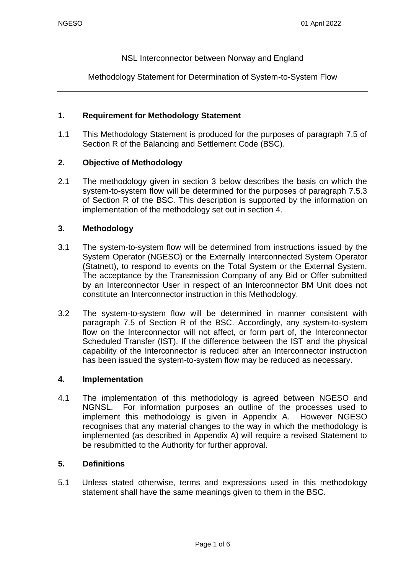NSL Interconnector between Norway and England

Methodology Statement for Determination of System-to-System Flow

### **1. Requirement for Methodology Statement**

1.1 This Methodology Statement is produced for the purposes of paragraph 7.5 of Section R of the Balancing and Settlement Code (BSC).

### **2. Objective of Methodology**

2.1 The methodology given in section 3 below describes the basis on which the system-to-system flow will be determined for the purposes of paragraph 7.5.3 of Section R of the BSC. This description is supported by the information on implementation of the methodology set out in section 4.

#### **3. Methodology**

- 3.1 The system-to-system flow will be determined from instructions issued by the System Operator (NGESO) or the Externally Interconnected System Operator (Statnett), to respond to events on the Total System or the External System. The acceptance by the Transmission Company of any Bid or Offer submitted by an Interconnector User in respect of an Interconnector BM Unit does not constitute an Interconnector instruction in this Methodology.
- 3.2 The system-to-system flow will be determined in manner consistent with paragraph 7.5 of Section R of the BSC. Accordingly, any system-to-system flow on the Interconnector will not affect, or form part of, the Interconnector Scheduled Transfer (IST). If the difference between the IST and the physical capability of the Interconnector is reduced after an Interconnector instruction has been issued the system-to-system flow may be reduced as necessary.

#### **4. Implementation**

4.1 The implementation of this methodology is agreed between NGESO and NGNSL. For information purposes an outline of the processes used to implement this methodology is given in Appendix A. However NGESO recognises that any material changes to the way in which the methodology is implemented (as described in Appendix A) will require a revised Statement to be resubmitted to the Authority for further approval.

#### **5. Definitions**

5.1 Unless stated otherwise, terms and expressions used in this methodology statement shall have the same meanings given to them in the BSC.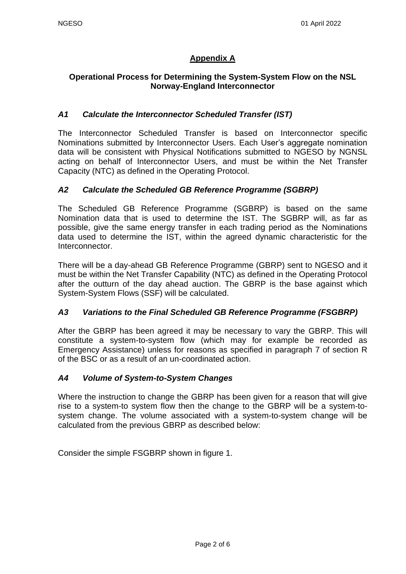## **Appendix A**

### **Operational Process for Determining the System-System Flow on the NSL Norway-England Interconnector**

### *A1 Calculate the Interconnector Scheduled Transfer (IST)*

The Interconnector Scheduled Transfer is based on Interconnector specific Nominations submitted by Interconnector Users. Each User's aggregate nomination data will be consistent with Physical Notifications submitted to NGESO by NGNSL acting on behalf of Interconnector Users, and must be within the Net Transfer Capacity (NTC) as defined in the Operating Protocol.

### *A2 Calculate the Scheduled GB Reference Programme (SGBRP)*

The Scheduled GB Reference Programme (SGBRP) is based on the same Nomination data that is used to determine the IST. The SGBRP will, as far as possible, give the same energy transfer in each trading period as the Nominations data used to determine the IST, within the agreed dynamic characteristic for the Interconnector.

There will be a day-ahead GB Reference Programme (GBRP) sent to NGESO and it must be within the Net Transfer Capability (NTC) as defined in the Operating Protocol after the outturn of the day ahead auction. The GBRP is the base against which System-System Flows (SSF) will be calculated.

#### *A3 Variations to the Final Scheduled GB Reference Programme (FSGBRP)*

After the GBRP has been agreed it may be necessary to vary the GBRP. This will constitute a system-to-system flow (which may for example be recorded as Emergency Assistance) unless for reasons as specified in paragraph 7 of section R of the BSC or as a result of an un-coordinated action.

#### *A4 Volume of System-to-System Changes*

Where the instruction to change the GBRP has been given for a reason that will give rise to a system-to system flow then the change to the GBRP will be a system-tosystem change. The volume associated with a system-to-system change will be calculated from the previous GBRP as described below:

Consider the simple FSGBRP shown in figure 1.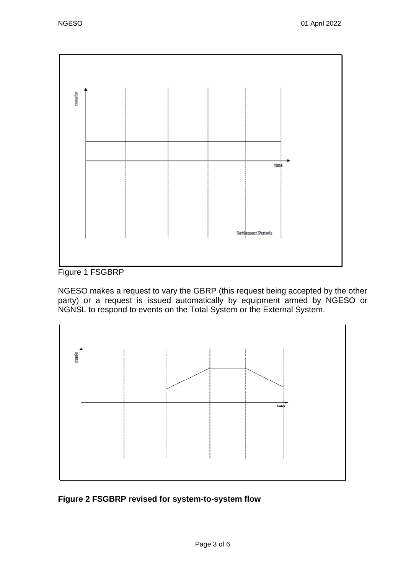

Figure 1 FSGBRP

NGESO makes a request to vary the GBRP (this request being accepted by the other party) or a request is issued automatically by equipment armed by NGESO or NGNSL to respond to events on the Total System or the External System.



## **Figure 2 FSGBRP revised for system-to-system flow**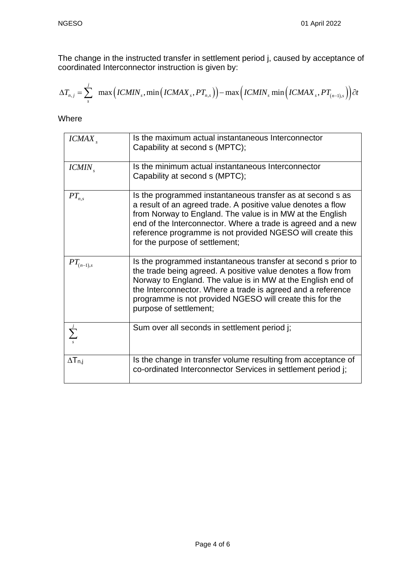The change in the instructed transfer in settlement period j, caused by acceptance of coordinated Interconnector instruction is given by:

The change in the instructed transfer in settlement period j, caused by acceptance of  
coordinated Interconnector instruction is given by:  

$$
\Delta T_{n,j} = \sum_{s}^{j} \max \Big( ICMIN_{s}, \min \Big( ICMAX_{s}, PT_{n,s} \Big) \Big) - \max \Big( ICMIN_{s} \min \Big( ICMAX_{s}, PT_{(n-1),s} \Big) \Big) \partial t
$$

Where

| ICMAX                    | Is the maximum actual instantaneous Interconnector<br>Capability at second s (MPTC);                                                                                                                                                                                                                                                                    |
|--------------------------|---------------------------------------------------------------------------------------------------------------------------------------------------------------------------------------------------------------------------------------------------------------------------------------------------------------------------------------------------------|
| ICMIN                    | Is the minimum actual instantaneous Interconnector<br>Capability at second s (MPTC);                                                                                                                                                                                                                                                                    |
| $PT_{n,s}$               | Is the programmed instantaneous transfer as at second s as<br>a result of an agreed trade. A positive value denotes a flow<br>from Norway to England. The value is in MW at the English<br>end of the Interconnector. Where a trade is agreed and a new<br>reference programme is not provided NGESO will create this<br>for the purpose of settlement; |
| $\mathcal{PT}_{(n-1),s}$ | Is the programmed instantaneous transfer at second s prior to<br>the trade being agreed. A positive value denotes a flow from<br>Norway to England. The value is in MW at the English end of<br>the Interconnector. Where a trade is agreed and a reference<br>programme is not provided NGESO will create this for the<br>purpose of settlement;       |
|                          | Sum over all seconds in settlement period j;                                                                                                                                                                                                                                                                                                            |
| $\Delta T_{n,j}$         | Is the change in transfer volume resulting from acceptance of<br>co-ordinated Interconnector Services in settlement period j;                                                                                                                                                                                                                           |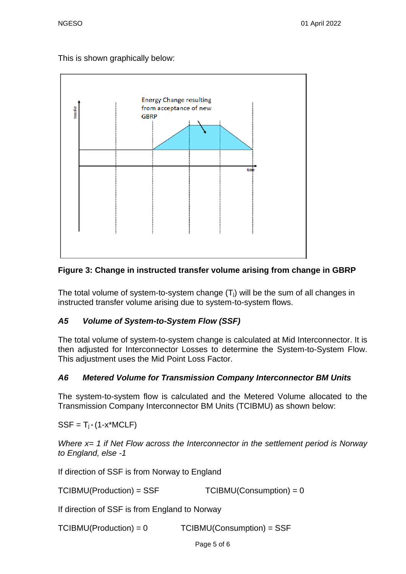This is shown graphically below:



## **Figure 3: Change in instructed transfer volume arising from change in GBRP**

The total volume of system-to-system change  $(T<sub>i</sub>)$  will be the sum of all changes in instructed transfer volume arising due to system-to-system flows.

## *A5 Volume of System-to-System Flow (SSF)*

The total volume of system-to-system change is calculated at Mid Interconnector. It is then adjusted for Interconnector Losses to determine the System-to-System Flow. This adjustment uses the Mid Point Loss Factor.

# *A6 Metered Volume for Transmission Company Interconnector BM Units*

The system-to-system flow is calculated and the Metered Volume allocated to the Transmission Company Interconnector BM Units (TCIBMU) as shown below:

 $SSF = T_i * (1-x^*MCLF)$ 

*Where x= 1 if Net Flow across the Interconnector in the settlement period is Norway to England, else -1* 

If direction of SSF is from Norway to England

 $TCIBMU(Production) = SSF$   $TCIBMU(Construction) = 0$ 

If direction of SSF is from England to Norway

TCIBMU(Production) = 0 TCIBMU(Consumption) = SSF